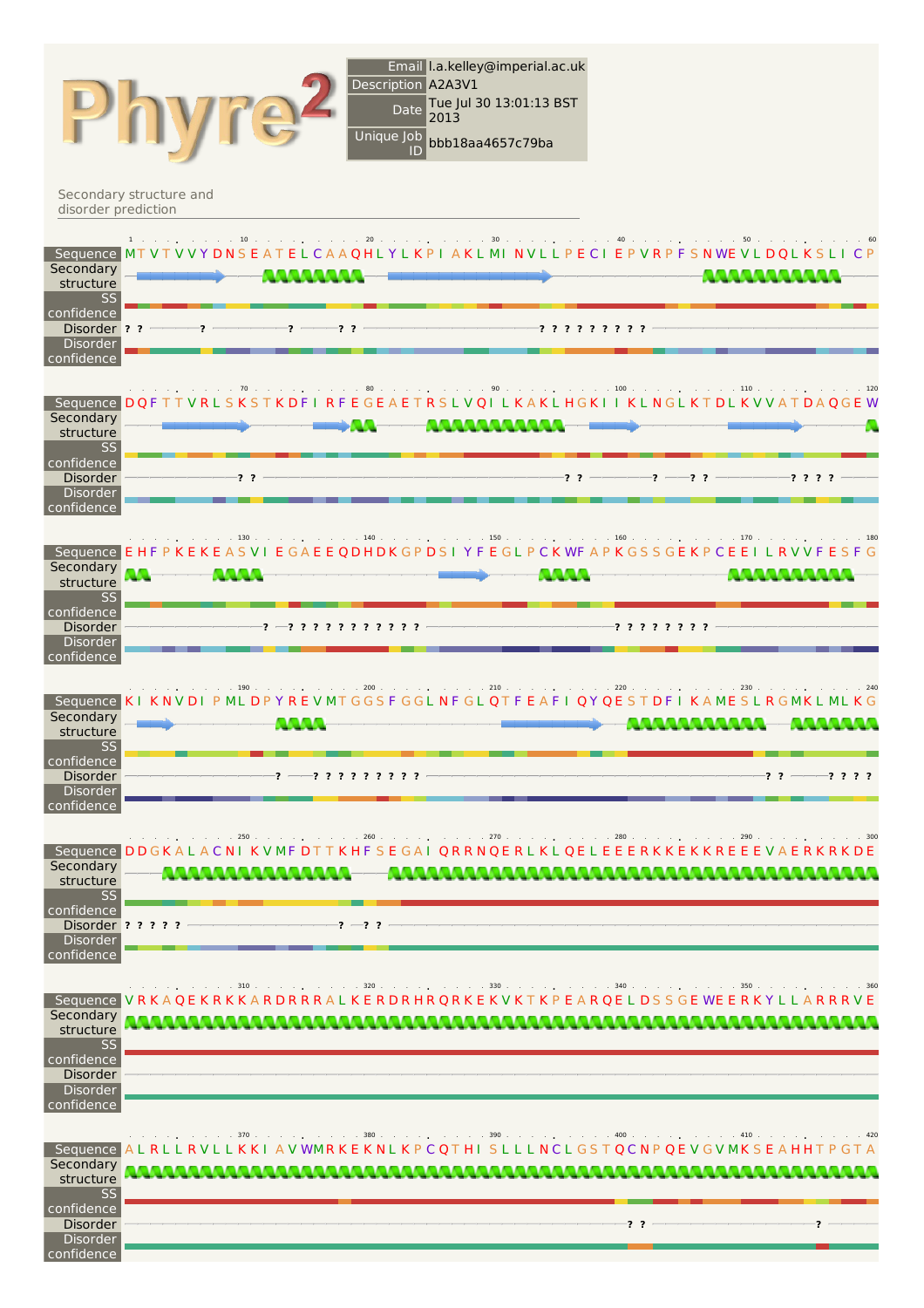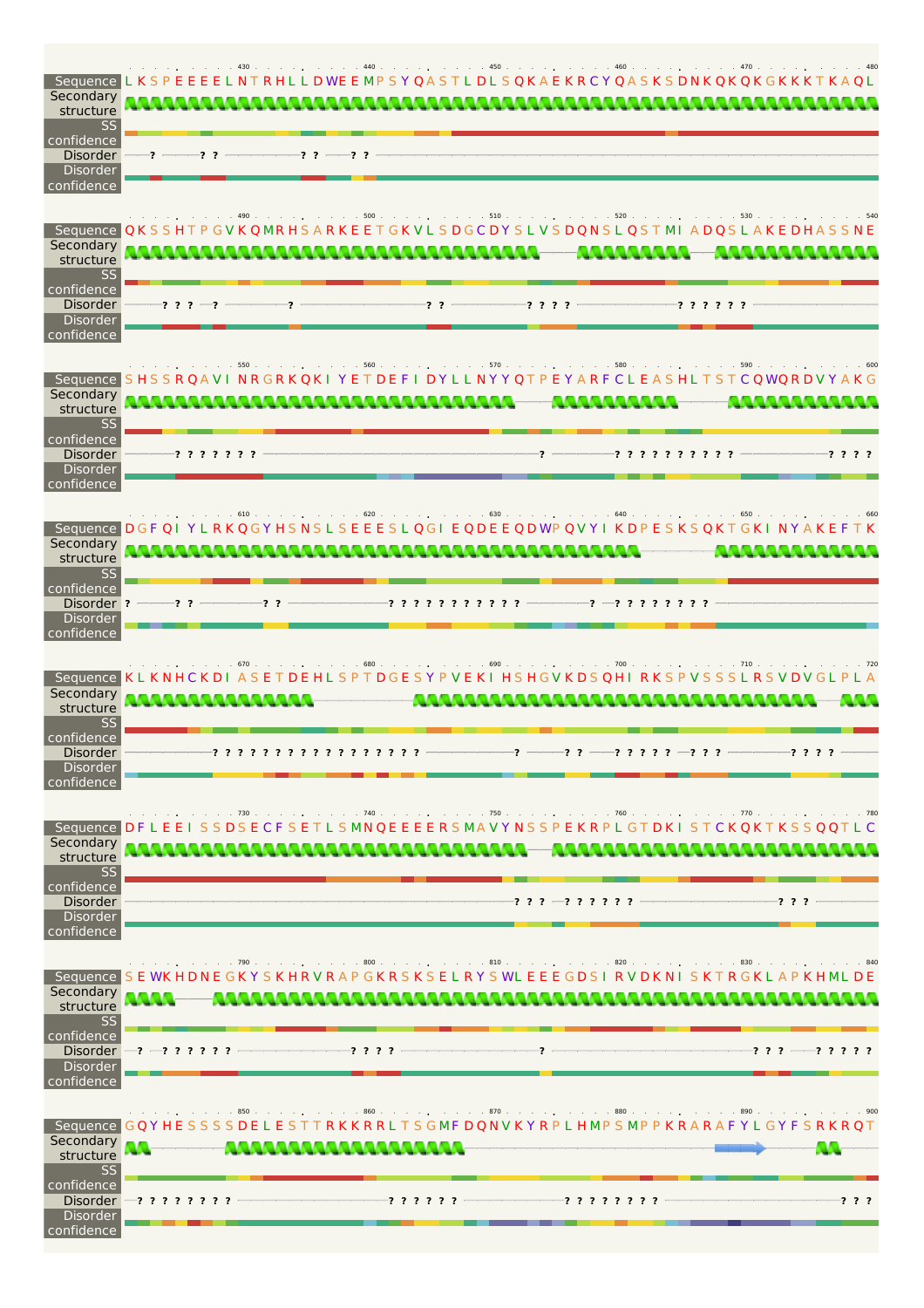| Secondary<br>structure<br><b>SS</b>                                  | 460<br>$\therefore$ $\therefore$ 480<br>Sequence LKSPEEEELNTRHLLDWEEMPSYQASTLDLSQKAEKRCYQASKSDNKQKQKGKKKTKAQL                              |
|----------------------------------------------------------------------|--------------------------------------------------------------------------------------------------------------------------------------------|
| confidence<br><b>Disorder</b><br><b>Disorder</b><br>confidence       | ??<br>-77                                                                                                                                  |
| Secondary<br>structure<br>SS                                         | . 510 520<br>$500$ .<br>$\cdots$ $\cdots$ $\cdots$ 530 $\cdots$<br>Sequence QKSSHTPGVKQMRHSARKEETGKVLSDGCDYSLVSDQNSLQSTMIADQSLAKEDHASSNE   |
| confidence<br><b>Disorder</b><br><b>Disorder</b><br>confidence       | $-2$ $2$<br>$222-$<br>-? ? ? ?<br>-? ? ? ? ? ?                                                                                             |
| Secondary<br>structure<br>SS                                         | . 570 580<br>$\therefore$ 590 $\therefore$ $\therefore$<br>$.560$<br>Sequence SHSSRQAVINRGRKQKIYETDEFIDYLLNYYQTPEYARFCLEASHLTSTCQWQRDVYAKG |
| confidence<br><b>Disorder</b><br>Disorder<br>confidence              | ? ? ? ? ? ? ?<br>? ? ? ? ? ? ? ? ? ?<br>-? ? ? ?                                                                                           |
| Secondary<br>structure<br>SS                                         | $.610$ $.71$<br>$.620$ .<br>$.650$<br>Sequence DGF QI YLRKQGY HSNSLSEEESLQGI EQDEE QDWP QVYI KDPESKSQKTGKI NYAKEFTK                        |
| confidence<br>Disorder ?<br>Disorder<br>confidence                   | ? ? ? ? ? ? ? ? ? ? ?                                                                                                                      |
| Secondary<br>structure<br>SS                                         | $.690$<br>. 700 710 720<br>670.<br>contractors and<br>Sequence KLKNHCKDI ASETDEHLSPTDGESYPVEKI HSHGVKDSQHI RKSPVSSSLRSVDVGLPLA             |
| confidence<br><b>Disorder</b><br>Disorder<br>confidence              |                                                                                                                                            |
| Secondary<br>structure                                               | Sequence DFLEEI SSDSECFSETLSMNQEEEERSMAVYNSSPEKRPLGTDKI STCKOKTKSSOOTLC<br><b>TANANA MANAZIA</b><br><b>ALL AND</b>                         |
| SS<br>confidence<br><b>Disorder</b><br><b>Disorder</b><br>confidence | $: 2.2 - 2.2.2.2.2$<br>? ? ?                                                                                                               |
| Secondary<br>structure                                               | Sequence SEWKHDNEGKYSKHRVRAPGKRSKSELRYSWLEEEGDSIRVDKNISKTRGKLAPKHMLDE                                                                      |
| <b>SS</b><br>confidence<br>Disorder<br>confidence                    | Disorder $-2$ -2 ? ? ? ? ?<br>$-$ ? ? ? $-$ ? ? ? ? ?<br>? ? ? ?                                                                           |
| Secondary<br>structure                                               | Sequence GQYHESSSSDELESTTRKKRRLTSGMFDQNVKYRPLHMPSMPPKRARAFYLGYFSRKRQT<br>,,,,,,,,,,,,,,,,,,,,,,,                                           |
| SS<br>confidence<br><b>Disorder</b><br><b>Disorder</b><br>confidence | ? ? ? ? ? ?<br>-? ? ?<br>――? ? ? ? ? ? ? ?<br>? ? ? ? ? ? ? ?                                                                              |